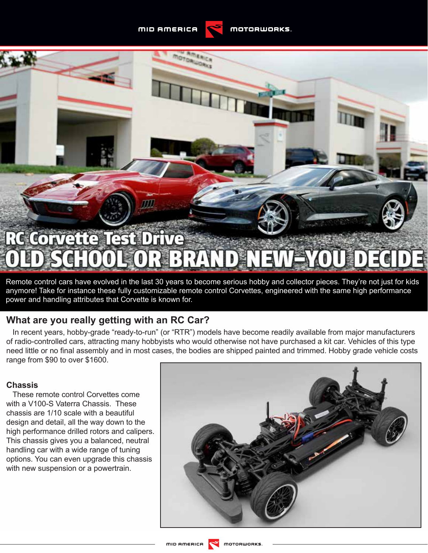**MID AMERICA** 



Remote control cars have evolved in the last 30 years to become serious hobby and collector pieces. They're not just for kids anymore! Take for instance these fully customizable remote control Corvettes, engineered with the same high performance power and handling attributes that Corvette is known for.

# **What are you really getting with an RC Car?**

In recent years, hobby-grade "ready-to-run" (or "RTR") models have become readily available from major manufacturers of radio-controlled cars, attracting many hobbyists who would otherwise not have purchased a kit car. Vehicles of this type need little or no final assembly and in most cases, the bodies are shipped painted and trimmed. Hobby grade vehicle costs range from \$90 to over \$1600.

## **Chassis**

These remote control Corvettes come with a V100-S Vaterra Chassis. These chassis are 1/10 scale with a beautiful design and detail, all the way down to the high performance drilled rotors and calipers. This chassis gives you a balanced, neutral handling car with a wide range of tuning options. You can even upgrade this chassis with new suspension or a powertrain.

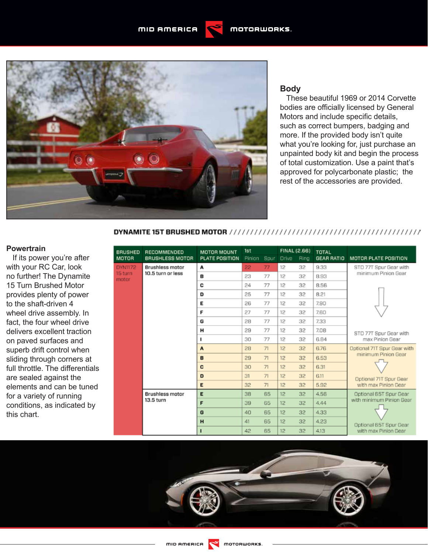**MID AMERICA** 



#### **Body**

These beautiful 1969 or 2014 Corvette bodies are officially licensed by General Motors and include specific details, such as correct bumpers, badging and more. If the provided body isn't quite what you're looking for, just purchase an unpainted body kit and begin the process of total customization. Use a paint that's approved for polycarbonate plastic; the rest of the accessories are provided.

#### 

#### **Powertrain**

If its power you're after with your RC Car, look no further! The Dynamite 15 Turn Brushed Motor provides plenty of power to the shaft-driven 4 wheel drive assembly. In fact, the four wheel drive delivers excellent traction on paved surfaces and superb drift control when sliding through corners at full throttle. The differentials are sealed against the elements and can be tuned for a variety of running conditions, as indicated by this chart.

| BRUSHED                     | RECOMMENDED<br><b>BRUSHLESS MOTOR</b>       | <b>MOTOR MOUNT</b><br><b>PLATE POSITION</b> | 1st    |      | FINAL (2.66) |      | <b>TOTAL</b>      |                                                                                                      |
|-----------------------------|---------------------------------------------|---------------------------------------------|--------|------|--------------|------|-------------------|------------------------------------------------------------------------------------------------------|
| мотов                       |                                             |                                             | Pinion | Spur | <b>Drive</b> | Ring | <b>GEAR RATIO</b> | <b>MOTOR PLATE POSITION</b>                                                                          |
| DYN1172<br>15 turn<br>motor | <b>Brushless motor</b><br>10.5 turn or less | А                                           | 22     | 77   | 12           | 32   | 9.33              | STD 77T Spur Gear with<br>minimum Pinion Gear<br>STD 77T Spur Gear with<br>max Pinion Gear           |
|                             |                                             | в                                           | 23     | 77   | 12           | 32   | 8.93              |                                                                                                      |
|                             |                                             | C                                           | 24     | 77   | 12           | 32   | 8.56              |                                                                                                      |
|                             |                                             | D                                           | 25     | 77   | $12^{1}$     | 32   | 8.21              |                                                                                                      |
|                             |                                             | Е                                           | 26     | 77   | 12           | 32   | 7.90              |                                                                                                      |
|                             |                                             | F                                           | 27     | 77   | 12           | 32   | 7.60              |                                                                                                      |
|                             |                                             | G                                           | 28     | 77   | 12           | 32   | 7.33              |                                                                                                      |
|                             |                                             | н                                           | 29     | 77   | 12           | 32   | 7.08              |                                                                                                      |
|                             |                                             | 1                                           | 30     | 77   | 12           | 32   | 6.84              |                                                                                                      |
|                             |                                             | $\mathbf{A}$                                | 28     | 71   | 12           | 32   | 6.76              | Optional 71T Spur Gear with<br>minimum Pinion Gear<br>Optional 71T Spur Gear<br>with max Pinion Gear |
|                             |                                             | B                                           | 29     | 71   | 12           | 32   | 6.53              |                                                                                                      |
|                             |                                             | c                                           | 30     | 71   | 12           | 32   | 6.31              |                                                                                                      |
|                             |                                             | D                                           | 31     | 71   | 12           | 32   | 6.11              |                                                                                                      |
|                             |                                             | E                                           | 32     | 71   | 12           | 32   | 5.92              |                                                                                                      |
|                             | <b>Brushless motor</b><br>13.5 turn         | Е                                           | 38     | 65   | 12           | 32   | 4.56              | Optional 65T Spur Gear<br>with minimum Pinion Gear<br>Optional 65T Spur Gear<br>with max Pinion Gear |
|                             |                                             | F                                           | 39     | 65   | 12           | 32   | 4.44              |                                                                                                      |
|                             |                                             | G                                           | 40     | 65   | 12           | 32   | 4.33              |                                                                                                      |
|                             |                                             | H                                           | 41     | 65   | 12           | 32   | 4.23              |                                                                                                      |
|                             |                                             | п                                           | 42     | 65   | 12           | 32   | 4.13              |                                                                                                      |

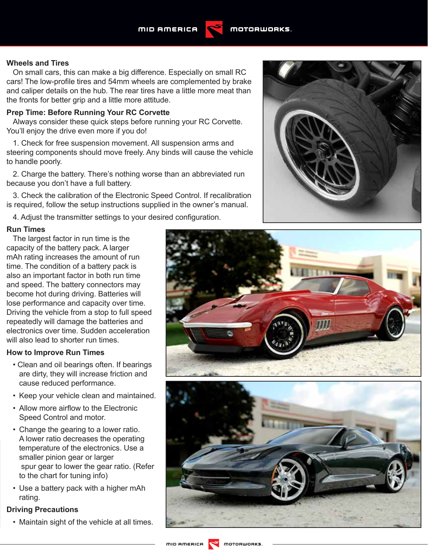#### **Wheels and Tires**

On small cars, this can make a big difference. Especially on small RC cars! The low-profile tires and 54mm wheels are complemented by brake and caliper details on the hub. The rear tires have a little more meat than the fronts for better grip and a little more attitude.

#### **Prep Time: Before Running Your RC Corvette**

Always consider these quick steps before running your RC Corvette. You'll enjoy the drive even more if you do!

1. Check for free suspension movement. All suspension arms and steering components should move freely. Any binds will cause the vehicle to handle poorly.

2. Charge the battery. There's nothing worse than an abbreviated run because you don't have a full battery.

3. Check the calibration of the Electronic Speed Control. If recalibration is required, follow the setup instructions supplied in the owner's manual.

4. Adjust the transmitter settings to your desired configuration.

#### **Run Times**

The largest factor in run time is the capacity of the battery pack. A larger mAh rating increases the amount of run time. The condition of a battery pack is also an important factor in both run time and speed. The battery connectors may become hot during driving. Batteries will lose performance and capacity over time. Driving the vehicle from a stop to full speed repeatedly will damage the batteries and electronics over time. Sudden acceleration will also lead to shorter run times.

#### **How to Improve Run Times**

- Clean and oil bearings often. If bearings are dirty, they will increase friction and cause reduced performance.
- Keep your vehicle clean and maintained.
- Allow more airflow to the Electronic Speed Control and motor.
- Change the gearing to a lower ratio. A lower ratio decreases the operating temperature of the electronics. Use a smaller pinion gear or larger spur gear to lower the gear ratio. (Refer to the chart for tuning info)
- Use a battery pack with a higher mAh rating.

### **Driving Precautions**

• Maintain sight of the vehicle at all times.





**MOTORWORKS**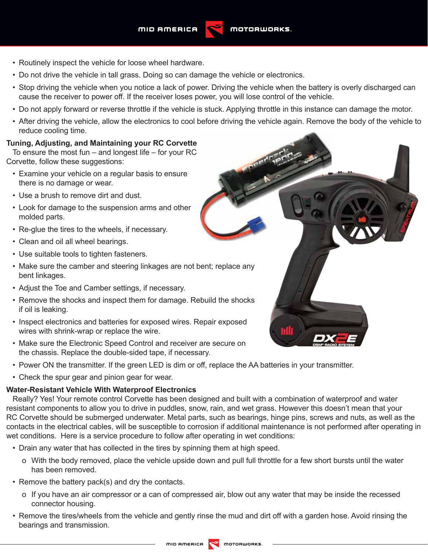- Routinely inspect the vehicle for loose wheel hardware.
- Do not drive the vehicle in tall grass. Doing so can damage the vehicle or electronics.
- Stop driving the vehicle when you notice a lack of power. Driving the vehicle when the battery is overly discharged can cause the receiver to power off. If the receiver loses power, you will lose control of the vehicle.
- Do not apply forward or reverse throttle if the vehicle is stuck. Applying throttle in this instance can damage the motor.
- After driving the vehicle, allow the electronics to cool before driving the vehicle again. Remove the body of the vehicle to reduce cooling time.

## **Tuning, Adjusting, and Maintaining your RC Corvette**

To ensure the most fun  $-$  and longest life  $-$  for your RC Corvette, follow these suggestions:

- Examine your vehicle on a regular basis to ensure there is no damage or wear.
- Use a brush to remove dirt and dust.
- Look for damage to the suspension arms and other molded parts.
- Re-glue the tires to the wheels, if necessary.
- Clean and oil all wheel bearings.
- Use suitable tools to tighten fasteners.
- Make sure the camber and steering linkages are not bent; replace any bent linkages.
- Adjust the Toe and Camber settings, if necessary.
- Remove the shocks and inspect them for damage. Rebuild the shocks if oil is leaking.
- Inspect electronics and batteries for exposed wires. Repair exposed wires with shrink-wrap or replace the wire.
- Make sure the Electronic Speed Control and receiver are secure on the chassis. Replace the double-sided tape, if necessary.
- Power ON the transmitter. If the green LED is dim or off, replace the AA batteries in your transmitter.
- Check the spur gear and pinion gear for wear.

# **Water-Resistant Vehicle With Waterproof Electronics**

Really? Yes! Your remote control Corvette has been designed and built with a combination of waterproof and water resistant components to allow you to drive in puddles, snow, rain, and wet grass. However this doesn't mean that your RC Corvette should be submerged underwater. Metal parts, such as bearings, hinge pins, screws and nuts, as well as the contacts in the electrical cables, will be susceptible to corrosion if additional maintenance is not performed after operating in wet conditions. Here is a service procedure to follow after operating in wet conditions:

- Drain any water that has collected in the tires by spinning them at high speed.
	- o With the body removed, place the vehicle upside down and pull full throttle for a few short bursts until the water has been removed.
- Remove the battery pack(s) and dry the contacts.
	- o If you have an air compressor or a can of compressed air, blow out any water that may be inside the recessed connector housing.
- Remove the tires/wheels from the vehicle and gently rinse the mud and dirt off with a garden hose. Avoid rinsing the bearings and transmission.